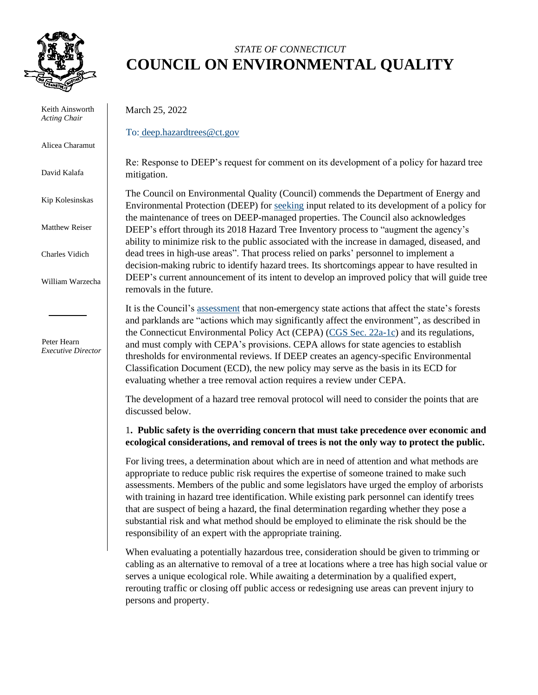

Keith Ainsworth *Acting Chair*

Alicea Charamut

David Kalafa

Kip Kolesinskas

Matthew Reiser

Charles Vidich

William Warzecha

 Peter Hearn *Executive Director*

# *STATE OF CONNECTICUT* **COUNCIL ON ENVIRONMENTAL QUALITY**

March 25, 2022

To: [deep.hazardtrees@ct.gov](mailto:deep.hazardtrees@ct.gov)

Re: Response to DEEP's request for comment on its development of a policy for hazard tree mitigation.

The Council on Environmental Quality (Council) commends the Department of Energy and Environmental Protection (DEEP) for [seeking](https://portal.ct.gov/-/media/DEEP/Public_Notice_Attachments/Hazard-Trees/Hazard-Tree-Removal-Process-Scoping-Notice.pdf) input related to its development of a policy for the maintenance of trees on DEEP-managed properties. The Council also acknowledges DEEP's effort through its 2018 Hazard Tree Inventory process to "augment the agency's ability to minimize risk to the public associated with the increase in damaged, diseased, and dead trees in high-use areas". That process relied on parks' personnel to implement a decision-making rubric to identify hazard trees. Its shortcomings appear to have resulted in DEEP's current announcement of its intent to develop an improved policy that will guide tree removals in the future.

It is the Council's [assessment](https://portal.ct.gov/-/media/CEQ/Publications/2022/CEPA---Forestry--white-paper-2242022.pdf) that non-emergency state actions that affect the state's forests and parklands are "actions which may significantly affect the environment", as described in the Connecticut Environmental Policy Act (CEPA) [\(CGS Sec. 22a-1c\)](https://www.cga.ct.gov/current/pub/chap_439.htm#sec_22a-1c) and its regulations, and must comply with CEPA's provisions. CEPA allows for state agencies to establish thresholds for environmental reviews. If DEEP creates an agency-specific Environmental Classification Document (ECD), the new policy may serve as the basis in its ECD for evaluating whether a tree removal action requires a review under CEPA.

The development of a hazard tree removal protocol will need to consider the points that are discussed below.

1**. Public safety is the overriding concern that must take precedence over economic and ecological considerations, and removal of trees is not the only way to protect the public.**

For living trees, a determination about which are in need of attention and what methods are appropriate to reduce public risk requires the expertise of someone trained to make such assessments. Members of the public and some legislators have urged the employ of arborists with training in hazard tree identification. While existing park personnel can identify trees that are suspect of being a hazard, the final determination regarding whether they pose a substantial risk and what method should be employed to eliminate the risk should be the responsibility of an expert with the appropriate training.

When evaluating a potentially hazardous tree, consideration should be given to trimming or cabling as an alternative to removal of a tree at locations where a tree has high social value or serves a unique ecological role. While awaiting a determination by a qualified expert, rerouting traffic or closing off public access or redesigning use areas can prevent injury to persons and property.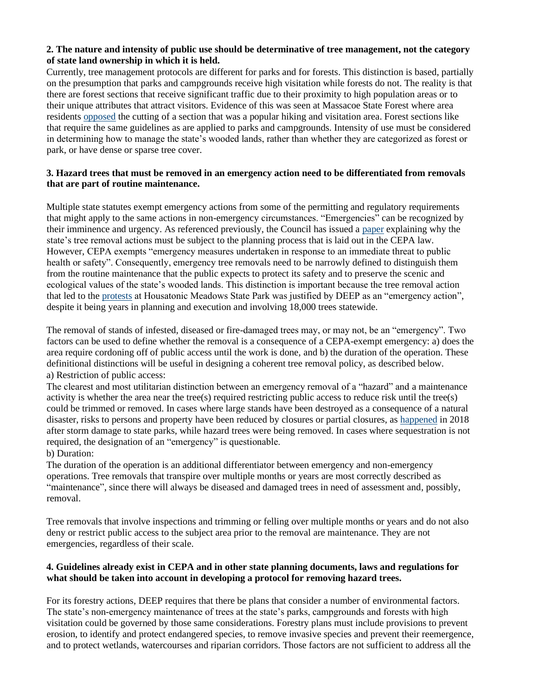#### **2. The nature and intensity of public use should be determinative of tree management, not the category of state land ownership in which it is held.**

Currently, tree management protocols are different for parks and for forests. This distinction is based, partially on the presumption that parks and campgrounds receive high visitation while forests do not. The reality is that there are forest sections that receive significant traffic due to their proximity to high population areas or to their unique attributes that attract visitors. Evidence of this was seen at Massacoe State Forest where area residents [opposed](https://friendsofmassacoe.org/) the cutting of a section that was a popular hiking and visitation area. Forest sections like that require the same guidelines as are applied to parks and campgrounds. Intensity of use must be considered in determining how to manage the state's wooded lands, rather than whether they are categorized as forest or park, or have dense or sparse tree cover.

## **3. Hazard trees that must be removed in an emergency action need to be differentiated from removals that are part of routine maintenance.**

Multiple state statutes exempt emergency actions from some of the permitting and regulatory requirements that might apply to the same actions in non-emergency circumstances. "Emergencies" can be recognized by their imminence and urgency. As referenced previously, the Council has issued a [paper](https://portal.ct.gov/-/media/CEQ/Publications/2022/CEPA---Forestry--white-paper-2242022.pdf) explaining why the state's tree removal actions must be subject to the planning process that is laid out in the CEPA law. However, CEPA exempts "emergency measures undertaken in response to an immediate threat to public health or safety". Consequently, emergency tree removals need to be narrowly defined to distinguish them from the routine maintenance that the public expects to protect its safety and to preserve the scenic and ecological values of the state's wooded lands. This distinction is important because the tree removal action that led to the [protests](https://ctsenaterepublicans.com/2022/01/group-protests-mass-cutting-of-trees-at-housatonic-meadows-state-park-rep-am/) at Housatonic Meadows State Park was justified by DEEP as an "emergency action", despite it being years in planning and execution and involving 18,000 trees statewide.

The removal of stands of infested, diseased or fire-damaged trees may, or may not, be an "emergency". Two factors can be used to define whether the removal is a consequence of a CEPA-exempt emergency: a) does the area require cordoning off of public access until the work is done, and b) the duration of the operation. These definitional distinctions will be useful in designing a coherent tree removal policy, as described below. a) Restriction of public access:

The clearest and most utilitarian distinction between an emergency removal of a "hazard" and a maintenance activity is whether the area near the tree(s) required restricting public access to reduce risk until the tree(s) could be trimmed or removed. In cases where large stands have been destroyed as a consequence of a natural disaster, risks to persons and property have been reduced by closures or partial closures, as [happened](https://www.ctwoodlands.org/public-policy/some-state-parks-closed-storms) in 2018 after storm damage to state parks, while hazard trees were being removed. In cases where sequestration is not required, the designation of an "emergency" is questionable.

#### b) Duration:

The duration of the operation is an additional differentiator between emergency and non-emergency operations. Tree removals that transpire over multiple months or years are most correctly described as "maintenance", since there will always be diseased and damaged trees in need of assessment and, possibly, removal.

Tree removals that involve inspections and trimming or felling over multiple months or years and do not also deny or restrict public access to the subject area prior to the removal are maintenance. They are not emergencies, regardless of their scale.

## **4. Guidelines already exist in CEPA and in other state planning documents, laws and regulations for what should be taken into account in developing a protocol for removing hazard trees.**

For its forestry actions, DEEP requires that there be plans that consider a number of environmental factors. The state's non-emergency maintenance of trees at the state's parks, campgrounds and forests with high visitation could be governed by those same considerations. Forestry plans must include provisions to prevent erosion, to identify and protect endangered species, to remove invasive species and prevent their reemergence, and to protect wetlands, watercourses and riparian corridors. Those factors are not sufficient to address all the